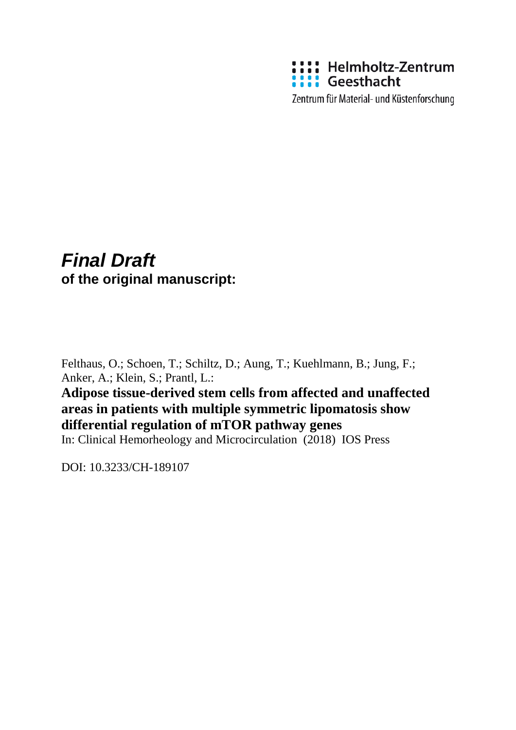

Zentrum für Material- und Küstenforschung

# *Final Draft*  **of the original manuscript:**

Felthaus, O.; Schoen, T.; Schiltz, D.; Aung, T.; Kuehlmann, B.; Jung, F.; Anker, A.; Klein, S.; Prantl, L.:

## **Adipose tissue-derived stem cells from affected and unaffected areas in patients with multiple symmetric lipomatosis show differential regulation of mTOR pathway genes**

In: Clinical Hemorheology and Microcirculation (2018) IOS Press

DOI: 10.3233/CH-189107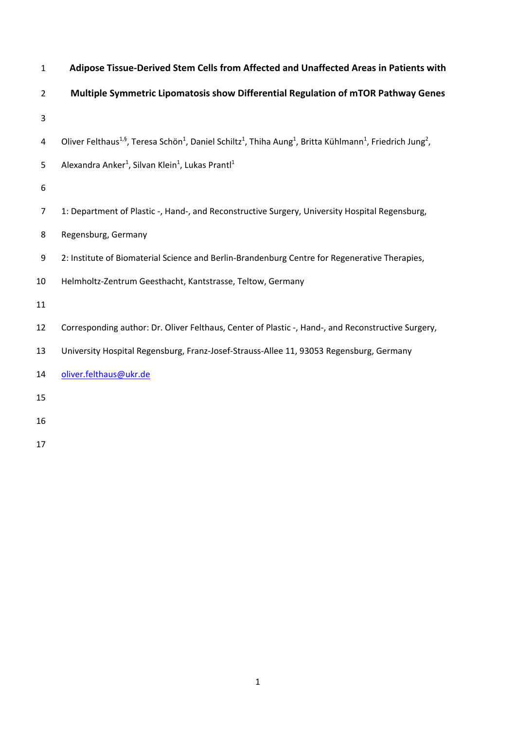| $\mathbf{1}$   | Adipose Tissue-Derived Stem Cells from Affected and Unaffected Areas in Patients with                                                                                             |
|----------------|-----------------------------------------------------------------------------------------------------------------------------------------------------------------------------------|
| $\overline{2}$ | Multiple Symmetric Lipomatosis show Differential Regulation of mTOR Pathway Genes                                                                                                 |
| $\mathsf 3$    |                                                                                                                                                                                   |
| 4              | Oliver Felthaus <sup>1,§</sup> , Teresa Schön <sup>1</sup> , Daniel Schiltz <sup>1</sup> , Thiha Aung <sup>1</sup> , Britta Kühlmann <sup>1</sup> , Friedrich Jung <sup>2</sup> , |
| 5              | Alexandra Anker <sup>1</sup> , Silvan Klein <sup>1</sup> , Lukas Prantl <sup>1</sup>                                                                                              |
| 6              |                                                                                                                                                                                   |
| $\overline{7}$ | 1: Department of Plastic -, Hand-, and Reconstructive Surgery, University Hospital Regensburg,                                                                                    |
| 8              | Regensburg, Germany                                                                                                                                                               |
| 9              | 2: Institute of Biomaterial Science and Berlin-Brandenburg Centre for Regenerative Therapies,                                                                                     |
| 10             | Helmholtz-Zentrum Geesthacht, Kantstrasse, Teltow, Germany                                                                                                                        |
| 11             |                                                                                                                                                                                   |
| 12             | Corresponding author: Dr. Oliver Felthaus, Center of Plastic -, Hand-, and Reconstructive Surgery,                                                                                |
| 13             | University Hospital Regensburg, Franz-Josef-Strauss-Allee 11, 93053 Regensburg, Germany                                                                                           |
| 14             | oliver.felthaus@ukr.de                                                                                                                                                            |
| 15             |                                                                                                                                                                                   |
| 16             |                                                                                                                                                                                   |
| 17             |                                                                                                                                                                                   |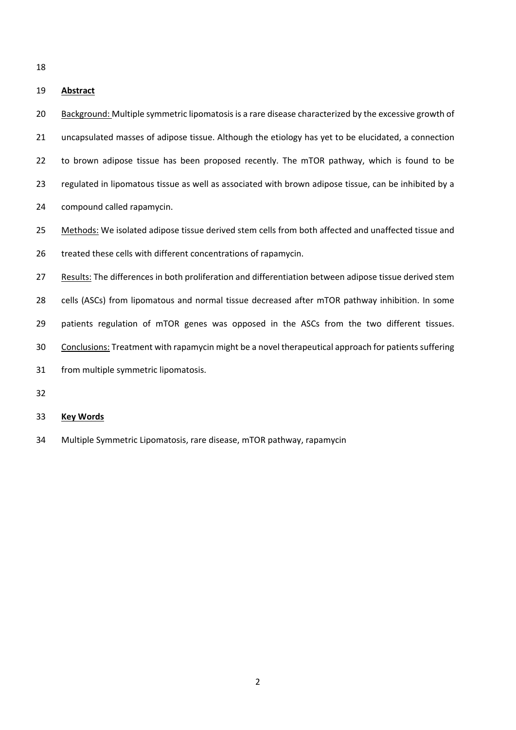## **Abstract**

 Background: Multiple symmetric lipomatosis is a rare disease characterized by the excessive growth of uncapsulated masses of adipose tissue. Although the etiology has yet to be elucidated, a connection 22 to brown adipose tissue has been proposed recently. The mTOR pathway, which is found to be regulated in lipomatous tissue as well as associated with brown adipose tissue, can be inhibited by a compound called rapamycin.

 Methods: We isolated adipose tissue derived stem cells from both affected and unaffected tissue and treated these cells with different concentrations of rapamycin.

 Results: The differences in both proliferation and differentiation between adipose tissue derived stem 28 cells (ASCs) from lipomatous and normal tissue decreased after mTOR pathway inhibition. In some 29 patients regulation of mTOR genes was opposed in the ASCs from the two different tissues. Conclusions: Treatment with rapamycin might be a novel therapeutical approach for patients suffering from multiple symmetric lipomatosis.

## **Key Words**

Multiple Symmetric Lipomatosis, rare disease, mTOR pathway, rapamycin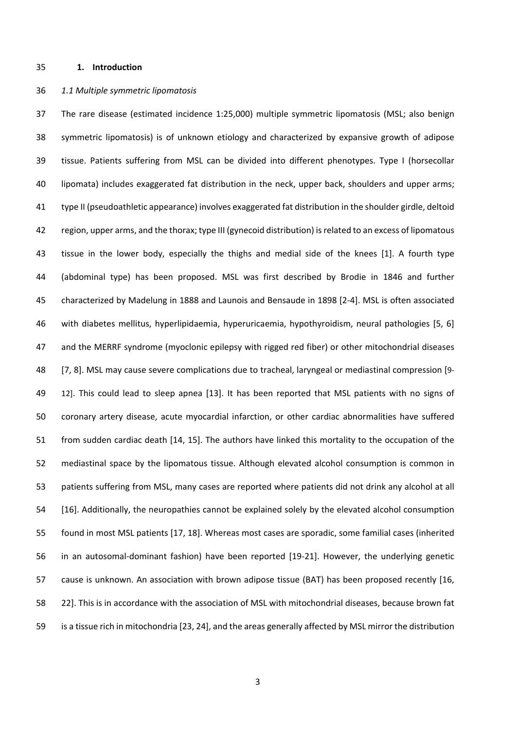#### **1. Introduction**

#### *1.1 Multiple symmetric lipomatosis*

 The rare disease (estimated incidence 1:25,000) multiple symmetric lipomatosis (MSL; also benign symmetric lipomatosis) is of unknown etiology and characterized by expansive growth of adipose tissue. Patients suffering from MSL can be divided into different phenotypes. Type I (horsecollar lipomata) includes exaggerated fat distribution in the neck, upper back, shoulders and upper arms; type II (pseudoathletic appearance) involves exaggerated fat distribution in the shoulder girdle, deltoid region, upper arms, and the thorax; type III (gynecoid distribution) is related to an excess of lipomatous tissue in the lower body, especially the thighs and medial side of the knees [1]. A fourth type (abdominal type) has been proposed. MSL was first described by Brodie in 1846 and further characterized by Madelung in 1888 and Launois and Bensaude in 1898 [2‐4]. MSL is often associated with diabetes mellitus, hyperlipidaemia, hyperuricaemia, hypothyroidism, neural pathologies [5, 6] and the MERRF syndrome (myoclonic epilepsy with rigged red fiber) or other mitochondrial diseases [7, 8]. MSL may cause severe complications due to tracheal, laryngeal or mediastinal compression [9‐ 49 12]. This could lead to sleep apnea [13]. It has been reported that MSL patients with no signs of coronary artery disease, acute myocardial infarction, or other cardiac abnormalities have suffered from sudden cardiac death [14, 15]. The authors have linked this mortality to the occupation of the mediastinal space by the lipomatous tissue. Although elevated alcohol consumption is common in patients suffering from MSL, many cases are reported where patients did not drink any alcohol at all [16]. Additionally, the neuropathies cannot be explained solely by the elevated alcohol consumption found in most MSL patients [17, 18]. Whereas most cases are sporadic, some familial cases (inherited 56 in an autosomal-dominant fashion) have been reported [19-21]. However, the underlying genetic cause is unknown. An association with brown adipose tissue (BAT) has been proposed recently [16, 22]. This is in accordance with the association of MSL with mitochondrial diseases, because brown fat is a tissue rich in mitochondria [23, 24], and the areas generally affected by MSL mirror the distribution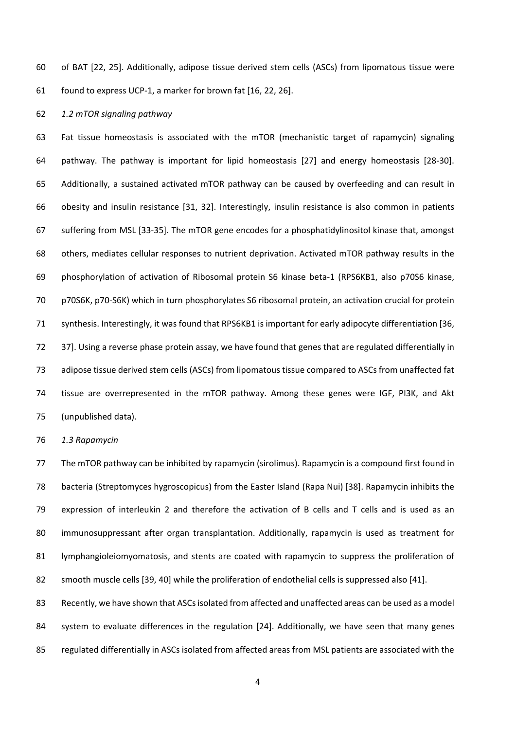of BAT [22, 25]. Additionally, adipose tissue derived stem cells (ASCs) from lipomatous tissue were found to express UCP‐1, a marker for brown fat [16, 22, 26].

*1.2 mTOR signaling pathway* 

 Fat tissue homeostasis is associated with the mTOR (mechanistic target of rapamycin) signaling pathway. The pathway is important for lipid homeostasis [27] and energy homeostasis [28‐30]. Additionally, a sustained activated mTOR pathway can be caused by overfeeding and can result in obesity and insulin resistance [31, 32]. Interestingly, insulin resistance is also common in patients suffering from MSL [33‐35]. The mTOR gene encodes for a phosphatidylinositol kinase that, amongst others, mediates cellular responses to nutrient deprivation. Activated mTOR pathway results in the phosphorylation of activation of Ribosomal protein S6 kinase beta‐1 (RPS6KB1, also p70S6 kinase, p70S6K, p70‐S6K) which in turn phosphorylates S6 ribosomal protein, an activation crucial for protein synthesis. Interestingly, it was found that RPS6KB1 is important for early adipocyte differentiation [36, 37]. Using a reverse phase protein assay, we have found that genes that are regulated differentially in adipose tissue derived stem cells (ASCs) from lipomatous tissue compared to ASCs from unaffected fat tissue are overrepresented in the mTOR pathway. Among these genes were IGF, PI3K, and Akt (unpublished data).

*1.3 Rapamycin* 

 The mTOR pathway can be inhibited by rapamycin (sirolimus). Rapamycin is a compound first found in bacteria (Streptomyces hygroscopicus) from the Easter Island (Rapa Nui) [38]. Rapamycin inhibits the 79 expression of interleukin 2 and therefore the activation of B cells and T cells and is used as an immunosuppressant after organ transplantation. Additionally, rapamycin is used as treatment for 81 lymphangioleiomyomatosis, and stents are coated with rapamycin to suppress the proliferation of smooth muscle cells [39, 40] while the proliferation of endothelial cells is suppressed also [41].

 Recently, we have shown that ASCs isolated from affected and unaffected areas can be used as a model system to evaluate differences in the regulation [24]. Additionally, we have seen that many genes regulated differentially in ASCs isolated from affected areas from MSL patients are associated with the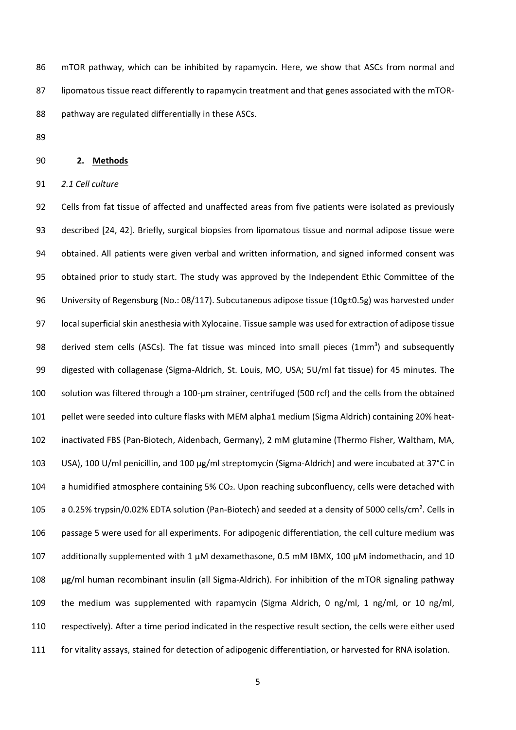mTOR pathway, which can be inhibited by rapamycin. Here, we show that ASCs from normal and 87 lipomatous tissue react differently to rapamycin treatment and that genes associated with the mTOR-pathway are regulated differentially in these ASCs.

## **2. Methods**

*2.1 Cell culture* 

 Cells from fat tissue of affected and unaffected areas from five patients were isolated as previously described [24, 42]. Briefly, surgical biopsies from lipomatous tissue and normal adipose tissue were obtained. All patients were given verbal and written information, and signed informed consent was obtained prior to study start. The study was approved by the Independent Ethic Committee of the 96 University of Regensburg (No.: 08/117). Subcutaneous adipose tissue (10g±0.5g) was harvested under local superficial skin anesthesia with Xylocaine. Tissue sample was used for extraction of adipose tissue 98 derived stem cells (ASCs). The fat tissue was minced into small pieces  $(1mm<sup>3</sup>)$  and subsequently 99 digested with collagenase (Sigma-Aldrich, St. Louis, MO, USA; 5U/ml fat tissue) for 45 minutes. The solution was filtered through a 100‐µm strainer, centrifuged (500 rcf) and the cells from the obtained 101 pellet were seeded into culture flasks with MEM alpha1 medium (Sigma Aldrich) containing 20% heat- inactivated FBS (Pan‐Biotech, Aidenbach, Germany), 2 mM glutamine (Thermo Fisher, Waltham, MA, USA), 100 U/ml penicillin, and 100 µg/ml streptomycin (Sigma‐Aldrich) and were incubated at 37°C in 104 a humidified atmosphere containing 5% CO<sub>2</sub>. Upon reaching subconfluency, cells were detached with a 0.25% trypsin/0.02% EDTA solution (Pan-Biotech) and seeded at a density of 5000 cells/cm<sup>2</sup>. Cells in passage 5 were used for all experiments. For adipogenic differentiation, the cell culture medium was 107 additionally supplemented with 1  $\mu$ M dexamethasone, 0.5 mM IBMX, 100  $\mu$ M indomethacin, and 10 µg/ml human recombinant insulin (all Sigma‐Aldrich). For inhibition of the mTOR signaling pathway the medium was supplemented with rapamycin (Sigma Aldrich, 0 ng/ml, 1 ng/ml, or 10 ng/ml, respectively). After a time period indicated in the respective result section, the cells were either used for vitality assays, stained for detection of adipogenic differentiation, or harvested for RNA isolation.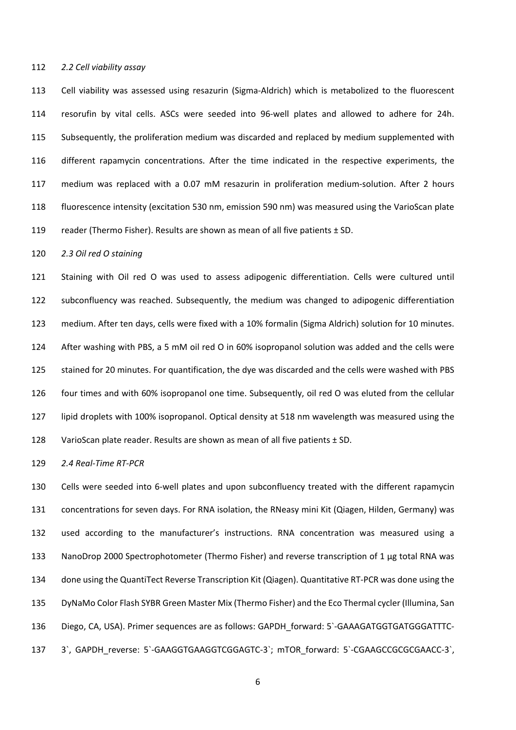#### *2.2 Cell viability assay*

113 Cell viability was assessed using resazurin (Sigma-Aldrich) which is metabolized to the fluorescent resorufin by vital cells. ASCs were seeded into 96‐well plates and allowed to adhere for 24h. Subsequently, the proliferation medium was discarded and replaced by medium supplemented with different rapamycin concentrations. After the time indicated in the respective experiments, the 117 medium was replaced with a 0.07 mM resazurin in proliferation medium-solution. After 2 hours fluorescence intensity (excitation 530 nm, emission 590 nm) was measured using the VarioScan plate reader (Thermo Fisher). Results are shown as mean of all five patients ± SD.

#### *2.3 Oil red O staining*

 Staining with Oil red O was used to assess adipogenic differentiation. Cells were cultured until subconfluency was reached. Subsequently, the medium was changed to adipogenic differentiation medium. After ten days, cells were fixed with a 10% formalin (Sigma Aldrich) solution for 10 minutes. After washing with PBS, a 5 mM oil red O in 60% isopropanol solution was added and the cells were stained for 20 minutes. For quantification, the dye was discarded and the cells were washed with PBS four times and with 60% isopropanol one time. Subsequently, oil red O was eluted from the cellular lipid droplets with 100% isopropanol. Optical density at 518 nm wavelength was measured using the 128 VarioScan plate reader. Results are shown as mean of all five patients ± SD.

#### *2.4 Real‐Time RT‐PCR*

 Cells were seeded into 6‐well plates and upon subconfluency treated with the different rapamycin concentrations for seven days. For RNA isolation, the RNeasy mini Kit (Qiagen, Hilden, Germany) was used according to the manufacturer's instructions. RNA concentration was measured using a 133 NanoDrop 2000 Spectrophotometer (Thermo Fisher) and reverse transcription of 1 µg total RNA was 134 done using the QuantiTect Reverse Transcription Kit (Qiagen). Quantitative RT-PCR was done using the DyNaMo Color Flash SYBR Green Master Mix (Thermo Fisher) and the Eco Thermal cycler (Illumina, San 136 Diego, CA, USA). Primer sequences are as follows: GAPDH forward: 5`-GAAAGATGGTGATGGGATTTC-137 3`, GAPDH\_reverse: 5`-GAAGGTGAAGGTCGGAGTC-3`; mTOR\_forward: 5`-CGAAGCCGCGCGAACC-3`,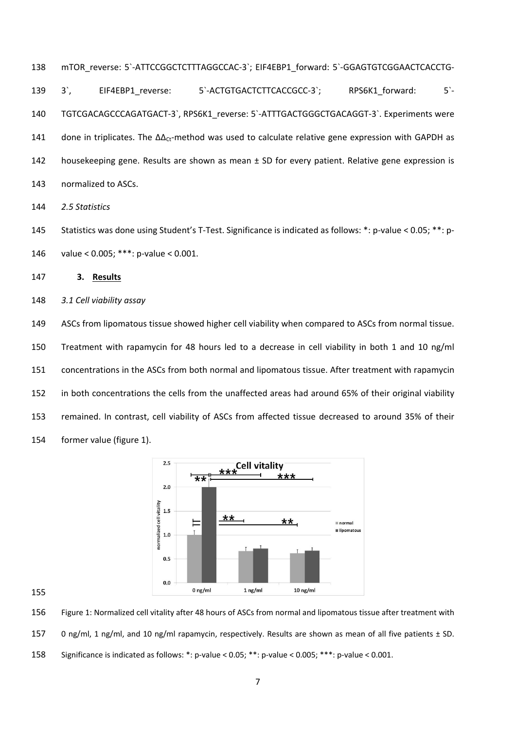mTOR\_reverse: 5`‐ATTCCGGCTCTTTAGGCCAC‐3`; EIF4EBP1\_forward: 5`‐GGAGTGTCGGAACTCACCTG‐ 139 3`, EIF4EBP1 reverse: 5`-ACTGTGACTCTTCACCGCC-3`; RPS6K1 forward: 5`-140 TGTCGACAGCCCAGATGACT-3`, RPS6K1\_reverse: 5`-ATTTGACTGGGCTGACAGGT-3`. Experiments were 141 done in triplicates. The  $\Delta\Delta_{\rm Ct}$ -method was used to calculate relative gene expression with GAPDH as housekeeping gene. Results are shown as mean ± SD for every patient. Relative gene expression is normalized to ASCs.

*2.5 Statistics* 

145 Statistics was done using Student's T-Test. Significance is indicated as follows: \*: p-value < 0.05; \*\*: p-value < 0.005; \*\*\*: p‐value < 0.001.

**3. Results** 

*3.1 Cell viability assay* 

 ASCs from lipomatous tissue showed higher cell viability when compared to ASCs from normal tissue. Treatment with rapamycin for 48 hours led to a decrease in cell viability in both 1 and 10 ng/ml concentrations in the ASCs from both normal and lipomatous tissue. After treatment with rapamycin in both concentrations the cells from the unaffected areas had around 65% of their original viability remained. In contrast, cell viability of ASCs from affected tissue decreased to around 35% of their former value (figure 1).



Figure 1: Normalized cell vitality after 48 hours of ASCs from normal and lipomatous tissue after treatment with

0 ng/ml, 1 ng/ml, and 10 ng/ml rapamycin, respectively. Results are shown as mean of all five patients ± SD.

Significance is indicated as follows: \*: p‐value < 0.05; \*\*: p‐value < 0.005; \*\*\*: p‐value < 0.001.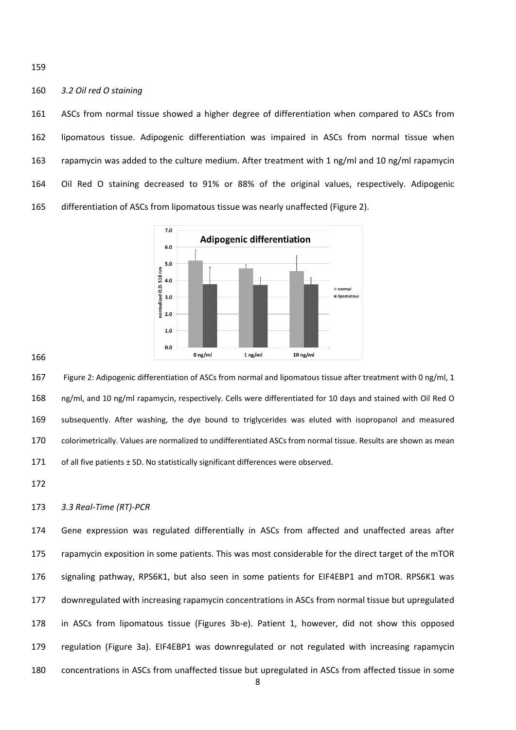#### *3.2 Oil red O staining*

 ASCs from normal tissue showed a higher degree of differentiation when compared to ASCs from lipomatous tissue. Adipogenic differentiation was impaired in ASCs from normal tissue when rapamycin was added to the culture medium. After treatment with 1 ng/ml and 10 ng/ml rapamycin Oil Red O staining decreased to 91% or 88% of the original values, respectively. Adipogenic differentiation of ASCs from lipomatous tissue was nearly unaffected (Figure 2).



 Figure 2: Adipogenic differentiation of ASCs from normal and lipomatous tissue after treatment with 0 ng/ml, 1 ng/ml, and 10 ng/ml rapamycin, respectively. Cells were differentiated for 10 days and stained with Oil Red O subsequently. After washing, the dye bound to triglycerides was eluted with isopropanol and measured colorimetrically. Values are normalized to undifferentiated ASCs from normal tissue. Results are shown as mean 171 of all five patients ± SD. No statistically significant differences were observed.

## *3.3 Real‐Time (RT)‐PCR*

 Gene expression was regulated differentially in ASCs from affected and unaffected areas after rapamycin exposition in some patients. This was most considerable for the direct target of the mTOR signaling pathway, RPS6K1, but also seen in some patients for EIF4EBP1 and mTOR. RPS6K1 was downregulated with increasing rapamycin concentrations in ASCs from normal tissue but upregulated 178 in ASCs from lipomatous tissue (Figures 3b-e). Patient 1, however, did not show this opposed regulation (Figure 3a). EIF4EBP1 was downregulated or not regulated with increasing rapamycin concentrations in ASCs from unaffected tissue but upregulated in ASCs from affected tissue in some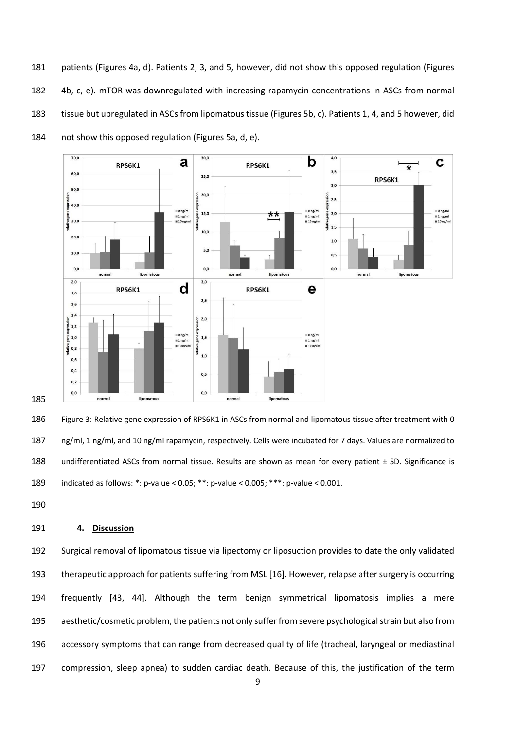patients (Figures 4a, d). Patients 2, 3, and 5, however, did not show this opposed regulation (Figures 4b, c, e). mTOR was downregulated with increasing rapamycin concentrations in ASCs from normal tissue but upregulated in ASCs from lipomatous tissue (Figures 5b, c). Patients 1, 4, and 5 however, did not show this opposed regulation (Figures 5a, d, e).



 Figure 3: Relative gene expression of RPS6K1 in ASCs from normal and lipomatous tissue after treatment with 0 ng/ml, 1 ng/ml, and 10 ng/ml rapamycin, respectively. Cells were incubated for 7 days. Values are normalized to 188 undifferentiated ASCs from normal tissue. Results are shown as mean for every patient ± SD. Significance is indicated as follows: \*: p‐value < 0.05; \*\*: p‐value < 0.005; \*\*\*: p‐value < 0.001.

## **4. Discussion**

 Surgical removal of lipomatous tissue via lipectomy or liposuction provides to date the only validated therapeutic approach for patients suffering from MSL [16]. However, relapse after surgery is occurring frequently [43, 44]. Although the term benign symmetrical lipomatosis implies a mere aesthetic/cosmetic problem, the patients not only suffer from severe psychological strain but also from accessory symptoms that can range from decreased quality of life (tracheal, laryngeal or mediastinal compression, sleep apnea) to sudden cardiac death. Because of this, the justification of the term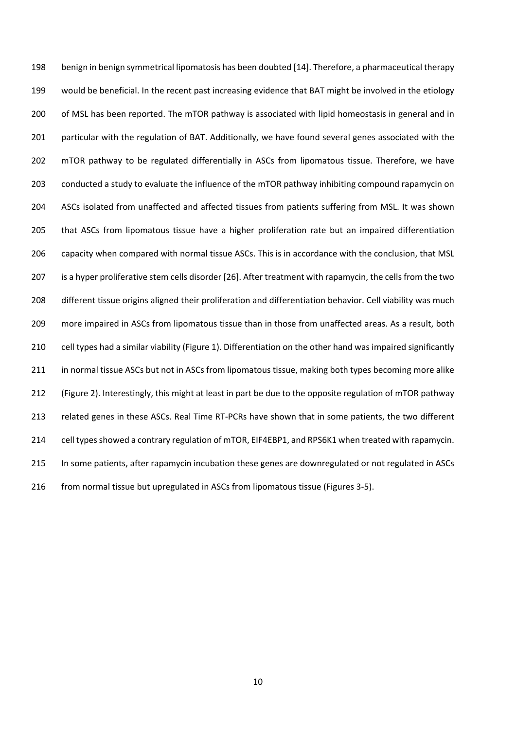benign in benign symmetrical lipomatosis has been doubted [14]. Therefore, a pharmaceutical therapy would be beneficial. In the recent past increasing evidence that BAT might be involved in the etiology of MSL has been reported. The mTOR pathway is associated with lipid homeostasis in general and in 201 particular with the regulation of BAT. Additionally, we have found several genes associated with the mTOR pathway to be regulated differentially in ASCs from lipomatous tissue. Therefore, we have conducted a study to evaluate the influence of the mTOR pathway inhibiting compound rapamycin on ASCs isolated from unaffected and affected tissues from patients suffering from MSL. It was shown that ASCs from lipomatous tissue have a higher proliferation rate but an impaired differentiation capacity when compared with normal tissue ASCs. This is in accordance with the conclusion, that MSL is a hyper proliferative stem cells disorder [26]. After treatment with rapamycin, the cells from the two different tissue origins aligned their proliferation and differentiation behavior. Cell viability was much more impaired in ASCs from lipomatous tissue than in those from unaffected areas. As a result, both cell types had a similar viability (Figure 1). Differentiation on the other hand was impaired significantly 211 in normal tissue ASCs but not in ASCs from lipomatous tissue, making both types becoming more alike (Figure 2). Interestingly, this might at least in part be due to the opposite regulation of mTOR pathway related genes in these ASCs. Real Time RT‐PCRs have shown that in some patients, the two different cell types showed a contrary regulation of mTOR, EIF4EBP1, and RPS6K1 when treated with rapamycin. In some patients, after rapamycin incubation these genes are downregulated or not regulated in ASCs from normal tissue but upregulated in ASCs from lipomatous tissue (Figures 3‐5).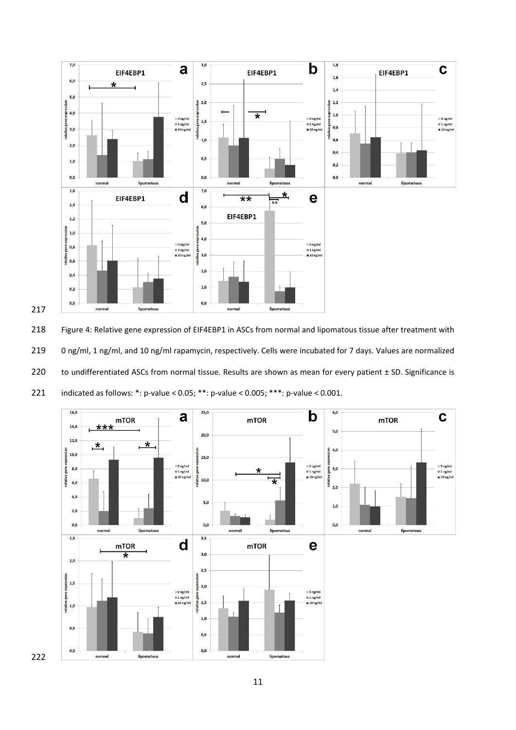

 Figure 4: Relative gene expression of EIF4EBP1 in ASCs from normal and lipomatous tissue after treatment with 0 ng/ml, 1 ng/ml, and 10 ng/ml rapamycin, respectively. Cells were incubated for 7 days. Values are normalized 220 to undifferentiated ASCs from normal tissue. Results are shown as mean for every patient ± SD. Significance is 221 indicated as follows:  $*$ : p-value < 0.05;  $**$ : p-value < 0.005;  $***$ : p-value < 0.001.

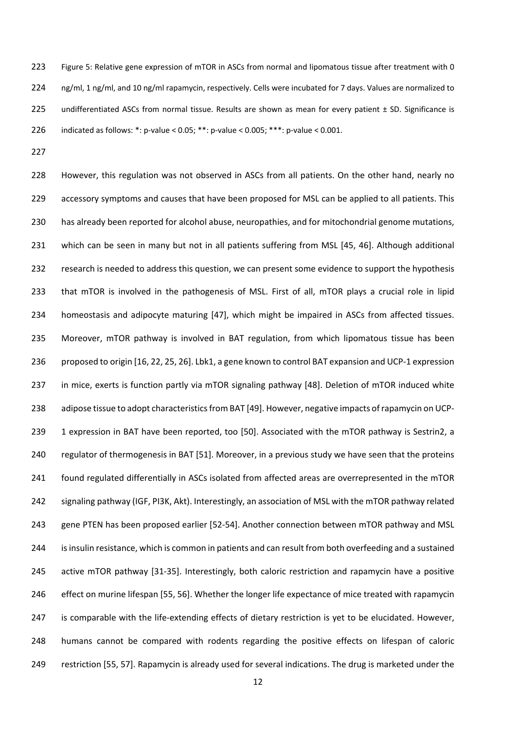Figure 5: Relative gene expression of mTOR in ASCs from normal and lipomatous tissue after treatment with 0 224 ng/ml, 1 ng/ml, and 10 ng/ml rapamycin, respectively. Cells were incubated for 7 days. Values are normalized to 225 undifferentiated ASCs from normal tissue. Results are shown as mean for every patient ± SD. Significance is indicated as follows: \*: p‐value < 0.05; \*\*: p‐value < 0.005; \*\*\*: p‐value < 0.001.

 However, this regulation was not observed in ASCs from all patients. On the other hand, nearly no 229 accessory symptoms and causes that have been proposed for MSL can be applied to all patients. This has already been reported for alcohol abuse, neuropathies, and for mitochondrial genome mutations, which can be seen in many but not in all patients suffering from MSL [45, 46]. Although additional research is needed to address this question, we can present some evidence to support the hypothesis 233 that mTOR is involved in the pathogenesis of MSL. First of all, mTOR plays a crucial role in lipid homeostasis and adipocyte maturing [47], which might be impaired in ASCs from affected tissues. Moreover, mTOR pathway is involved in BAT regulation, from which lipomatous tissue has been proposed to origin [16, 22, 25, 26]. Lbk1, a gene known to control BAT expansion and UCP‐1 expression in mice, exerts is function partly via mTOR signaling pathway [48]. Deletion of mTOR induced white adipose tissue to adopt characteristics from BAT [49]. However, negative impacts of rapamycin on UCP‐ 1 expression in BAT have been reported, too [50]. Associated with the mTOR pathway is Sestrin2, a regulator of thermogenesis in BAT [51]. Moreover, in a previous study we have seen that the proteins found regulated differentially in ASCs isolated from affected areas are overrepresented in the mTOR signaling pathway (IGF, PI3K, Akt). Interestingly, an association of MSL with the mTOR pathway related gene PTEN has been proposed earlier [52‐54]. Another connection between mTOR pathway and MSL is insulin resistance, which is common in patients and can result from both overfeeding and a sustained 245 active mTOR pathway [31-35]. Interestingly, both caloric restriction and rapamycin have a positive effect on murine lifespan [55, 56]. Whether the longer life expectance of mice treated with rapamycin 247 is comparable with the life-extending effects of dietary restriction is yet to be elucidated. However, humans cannot be compared with rodents regarding the positive effects on lifespan of caloric restriction [55, 57]. Rapamycin is already used for several indications. The drug is marketed under the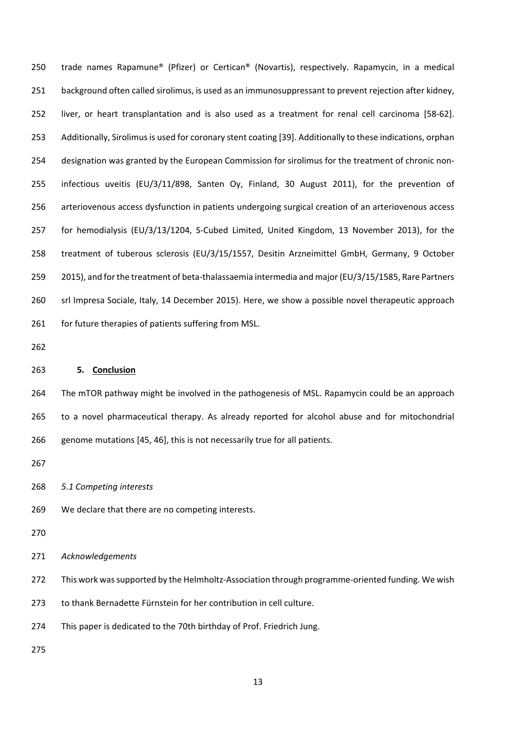trade names Rapamune® (Pfizer) or Certican® (Novartis), respectively. Rapamycin, in a medical background often called sirolimus, is used as an immunosuppressant to prevent rejection after kidney, liver, or heart transplantation and is also used as a treatment for renal cell carcinoma [58‐62]. Additionally, Sirolimus is used for coronary stent coating [39]. Additionally to these indications, orphan designation was granted by the European Commission for sirolimus for the treatment of chronic non‐ infectious uveitis (EU/3/11/898, Santen Oy, Finland, 30 August 2011), for the prevention of arteriovenous access dysfunction in patients undergoing surgical creation of an arteriovenous access for hemodialysis (EU/3/13/1204, S‐Cubed Limited, United Kingdom, 13 November 2013), for the treatment of tuberous sclerosis (EU/3/15/1557, Desitin Arzneimittel GmbH, Germany, 9 October 259 2015), and for the treatment of beta-thalassaemia intermedia and major (EU/3/15/1585, Rare Partners srl Impresa Sociale, Italy, 14 December 2015). Here, we show a possible novel therapeutic approach for future therapies of patients suffering from MSL.

## **5. Conclusion**

 The mTOR pathway might be involved in the pathogenesis of MSL. Rapamycin could be an approach to a novel pharmaceutical therapy. As already reported for alcohol abuse and for mitochondrial genome mutations [45, 46], this is not necessarily true for all patients.

- *5.1 Competing interests*
- We declare that there are no competing interests.
- 
- *Acknowledgements*

272 This work was supported by the Helmholtz-Association through programme-oriented funding. We wish

- to thank Bernadette Fürnstein for her contribution in cell culture.
- This paper is dedicated to the 70th birthday of Prof. Friedrich Jung.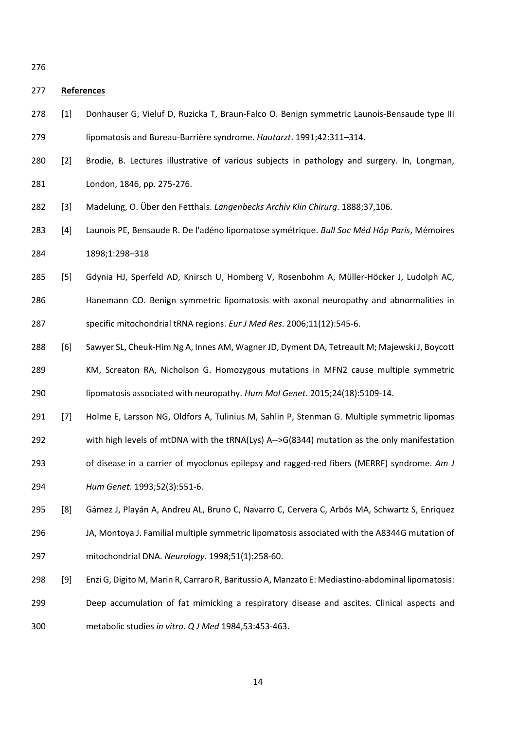#### **References**

- [1] Donhauser G, Vieluf D, Ruzicka T, Braun‐Falco O. Benign symmetric Launois‐Bensaude type III lipomatosis and Bureau‐Barrière syndrome. *Hautarzt*. 1991;42:311–314.
- [2] Brodie, B. Lectures illustrative of various subjects in pathology and surgery. In, Longman, London, 1846, pp. 275‐276.
- [3] Madelung, O. Über den Fetthals. *Langenbecks Archiv Klin Chirurg*. 1888;37,106.
- [4] Launois PE, Bensaude R. De l'adéno lipomatose symétrique. *Bull Soc Méd Hôp Paris*, Mémoires 1898;1:298–318
- [5] Gdynia HJ, Sperfeld AD, Knirsch U, Homberg V, Rosenbohm A, Müller‐Höcker J, Ludolph AC, **Hanemann CO. Benign symmetric lipomatosis with axonal neuropathy and abnormalities in** specific mitochondrial tRNA regions. *Eur J Med Res*. 2006;11(12):545‐6.
- [6] Sawyer SL, Cheuk‐Him Ng A, Innes AM, Wagner JD, Dyment DA, Tetreault M; Majewski J, Boycott KM, Screaton RA, Nicholson G. Homozygous mutations in MFN2 cause multiple symmetric

lipomatosis associated with neuropathy. *Hum Mol Genet*. 2015;24(18):5109‐14.

- [7] Holme E, Larsson NG, Oldfors A, Tulinius M, Sahlin P, Stenman G. Multiple symmetric lipomas
- 292 with high levels of mtDNA with the tRNA(Lys) A-->G(8344) mutation as the only manifestation
- of disease in a carrier of myoclonus epilepsy and ragged‐red fibers (MERRF) syndrome. *Am J*

*Hum Genet*. 1993;52(3):551‐6.

- [8] Gámez J, Playán A, Andreu AL, Bruno C, Navarro C, Cervera C, Arbós MA, Schwartz S, Enriquez JA, Montoya J. Familial multiple symmetric lipomatosis associated with the A8344G mutation of mitochondrial DNA. *Neurology*. 1998;51(1):258‐60.
- [9] Enzi G, Digito M, Marin R, Carraro R, Baritussio A, Manzato E: Mediastino‐abdominal lipomatosis: Deep accumulation of fat mimicking a respiratory disease and ascites. Clinical aspects and metabolic studies *in vitro*. *Q J Med* 1984,53:453‐463.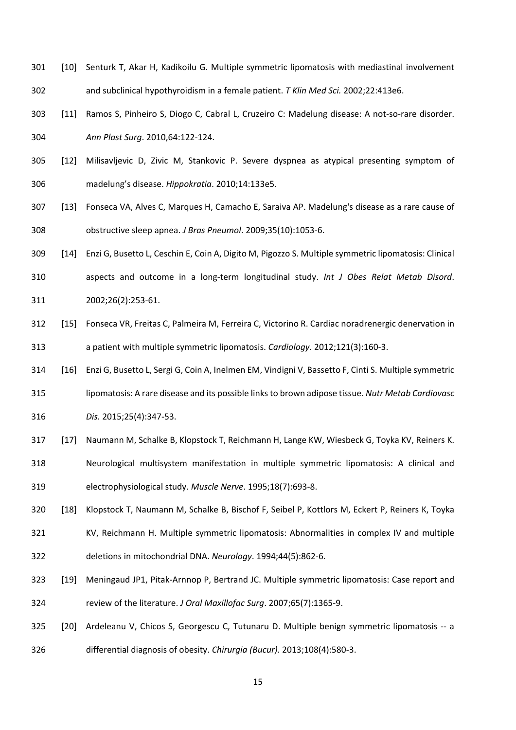- [10] Senturk T, Akar H, Kadikoilu G. Multiple symmetric lipomatosis with mediastinal involvement and subclinical hypothyroidism in a female patient. *T Klin Med Sci.* 2002;22:413e6.
- [11] Ramos S, Pinheiro S, Diogo C, Cabral L, Cruzeiro C: Madelung disease: A not‐so‐rare disorder. *Ann Plast Surg*. 2010,64:122‐124.
- [12] Milisavljevic D, Zivic M, Stankovic P. Severe dyspnea as atypical presenting symptom of madelung's disease. *Hippokratia*. 2010;14:133e5.
- [13] Fonseca VA, Alves C, Marques H, Camacho E, Saraiva AP. Madelung's disease as a rare cause of obstructive sleep apnea. *J Bras Pneumol*. 2009;35(10):1053‐6.
- [14] Enzi G, Busetto L, Ceschin E, Coin A, Digito M, Pigozzo S. Multiple symmetric lipomatosis: Clinical
- aspects and outcome in a long‐term longitudinal study. *Int J Obes Relat Metab Disord*. 2002;26(2):253‐61.
- [15] Fonseca VR, Freitas C, Palmeira M, Ferreira C, Victorino R. Cardiac noradrenergic denervation in a patient with multiple symmetric lipomatosis. *Cardiology*. 2012;121(3):160‐3.
- [16] Enzi G, Busetto L, Sergi G, Coin A, Inelmen EM, Vindigni V, Bassetto F, Cinti S. Multiple symmetric
- lipomatosis: A rare disease and its possible links to brown adipose tissue. *Nutr Metab Cardiovasc*
- *Dis.* 2015;25(4):347‐53.
- 317 [17] Naumann M, Schalke B, Klopstock T, Reichmann H, Lange KW, Wiesbeck G, Toyka KV, Reiners K.
- Neurological multisystem manifestation in multiple symmetric lipomatosis: A clinical and electrophysiological study. *Muscle Nerve*. 1995;18(7):693‐8.
- [18] Klopstock T, Naumann M, Schalke B, Bischof F, Seibel P, Kottlors M, Eckert P, Reiners K, Toyka
- KV, Reichmann H. Multiple symmetric lipomatosis: Abnormalities in complex IV and multiple deletions in mitochondrial DNA. *Neurology*. 1994;44(5):862‐6.
- [19] Meningaud JP1, Pitak‐Arnnop P, Bertrand JC. Multiple symmetric lipomatosis: Case report and review of the literature. *J Oral Maxillofac Surg*. 2007;65(7):1365‐9.
- 325 [20] Ardeleanu V, Chicos S, Georgescu C, Tutunaru D. Multiple benign symmetric lipomatosis -- a differential diagnosis of obesity. *Chirurgia (Bucur).* 2013;108(4):580‐3.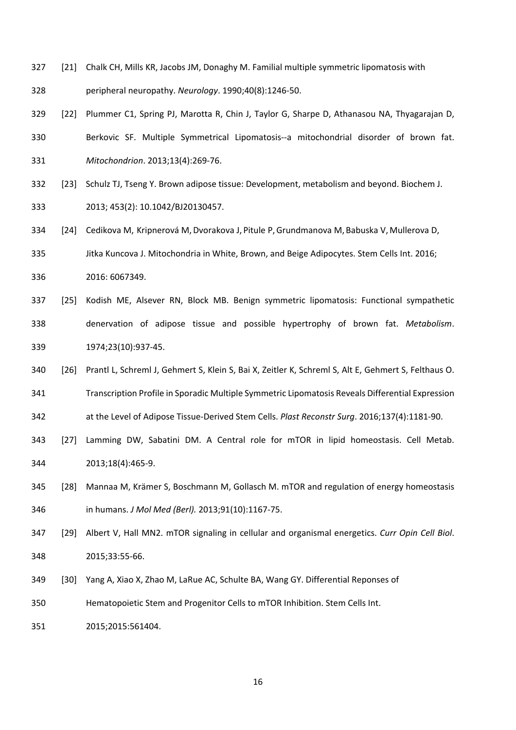- [21] Chalk CH, Mills KR, Jacobs JM, Donaghy M. Familial multiple symmetric lipomatosis with
- peripheral neuropathy. *Neurology*. 1990;40(8):1246‐50.
- [22] Plummer C1, Spring PJ, Marotta R, Chin J, Taylor G, Sharpe D, Athanasou NA, Thyagarajan D,
- Berkovic SF. Multiple Symmetrical Lipomatosis‐‐a mitochondrial disorder of brown fat. *Mitochondrion*. 2013;13(4):269‐76.
- [23] Schulz TJ, Tseng Y. Brown adipose tissue: Development, metabolism and beyond. Biochem J. 2013; 453(2): 10.1042/BJ20130457.
- [24] Cedikova M, Kripnerová M,Dvorakova J, Pitule P,Grundmanova M, Babuska V, Mullerova D,
- Jitka Kuncova J. Mitochondria in White, Brown, and Beige Adipocytes. Stem Cells Int. 2016;
- 2016: 6067349.
- [25] Kodish ME, Alsever RN, Block MB. Benign symmetric lipomatosis: Functional sympathetic denervation of adipose tissue and possible hypertrophy of brown fat. *Metabolism*. 1974;23(10):937‐45.
- [26] Prantl L, Schreml J, Gehmert S, Klein S, Bai X, Zeitler K, Schreml S, Alt E, Gehmert S, Felthaus O.
- Transcription Profile in Sporadic Multiple Symmetric Lipomatosis Reveals Differential Expression at the Level of Adipose Tissue‐Derived Stem Cells. *Plast Reconstr Surg*. 2016;137(4):1181‐90.
- [27] Lamming DW, Sabatini DM. A Central role for mTOR in lipid homeostasis. Cell Metab. 2013;18(4):465‐9.
- [28] Mannaa M, Krämer S, Boschmann M, Gollasch M. mTOR and regulation of energy homeostasis in humans. *J Mol Med (Berl).* 2013;91(10):1167‐75.
- [29] Albert V, Hall MN2. mTOR signaling in cellular and organismal energetics. *Curr Opin Cell Biol*. 2015;33:55‐66.
- [30] Yang A, Xiao X, Zhao M, LaRue AC, Schulte BA, Wang GY. Differential Reponses of
- Hematopoietic Stem and Progenitor Cells to mTOR Inhibition. Stem Cells Int.

2015;2015:561404.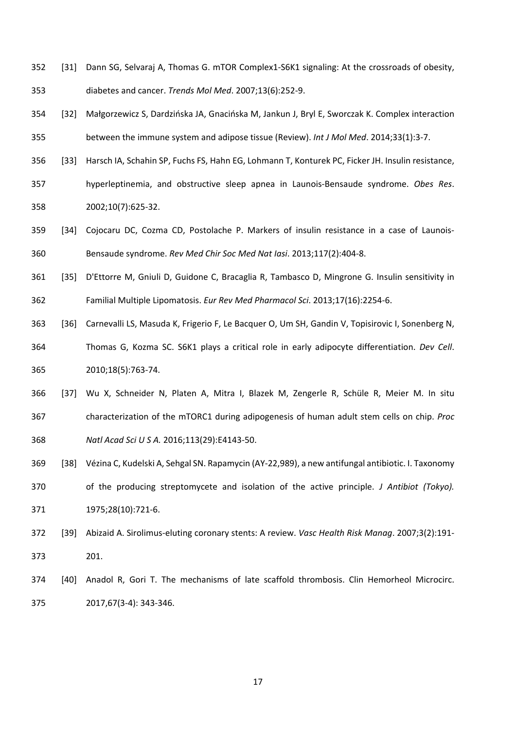- [31] Dann SG, Selvaraj A, Thomas G. mTOR Complex1‐S6K1 signaling: At the crossroads of obesity, diabetes and cancer. *Trends Mol Med*. 2007;13(6):252‐9.
- [32] Małgorzewicz S, Dardzińska JA, Gnacińska M, Jankun J, Bryl E, Sworczak K. Complex interaction between the immune system and adipose tissue (Review). *Int J Mol Med*. 2014;33(1):3‐7.
- [33] Harsch IA, Schahin SP, Fuchs FS, Hahn EG, Lohmann T, Konturek PC, Ficker JH. Insulin resistance,
- hyperleptinemia, and obstructive sleep apnea in Launois‐Bensaude syndrome. *Obes Res*. 2002;10(7):625‐32.
- 359 [34] Cojocaru DC, Cozma CD, Postolache P. Markers of insulin resistance in a case of Launois-Bensaude syndrome. *Rev Med Chir Soc Med Nat Iasi*. 2013;117(2):404‐8.
- [35] D'Ettorre M, Gniuli D, Guidone C, Bracaglia R, Tambasco D, Mingrone G. Insulin sensitivity in Familial Multiple Lipomatosis. *Eur Rev Med Pharmacol Sci*. 2013;17(16):2254‐6.
- [36] Carnevalli LS, Masuda K, Frigerio F, Le Bacquer O, Um SH, Gandin V, Topisirovic I, Sonenberg N, Thomas G, Kozma SC. S6K1 plays a critical role in early adipocyte differentiation. *Dev Cell*. 2010;18(5):763‐74.
- [37] Wu X, Schneider N, Platen A, Mitra I, Blazek M, Zengerle R, Schüle R, Meier M. In situ characterization of the mTORC1 during adipogenesis of human adult stem cells on chip. *Proc Natl Acad Sci U S A.* 2016;113(29):E4143‐50.
- [38] Vézina C, Kudelski A, Sehgal SN. Rapamycin (AY‐22,989), a new antifungal antibiotic. I. Taxonomy
- of the producing streptomycete and isolation of the active principle. *J Antibiot (Tokyo).* 1975;28(10):721‐6.
- [39] Abizaid A. Sirolimus‐eluting coronary stents: A review. *Vasc Health Risk Manag*. 2007;3(2):191‐ 201.
- 374 [40] Anadol R, Gori T. The mechanisms of late scaffold thrombosis. Clin Hemorheol Microcirc. 2017,67(3‐4): 343‐346.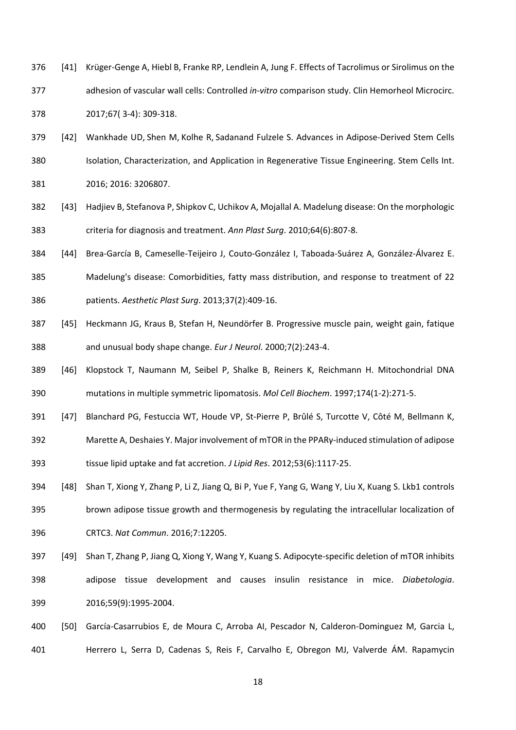- [41] Krüger‐Genge A, Hiebl B, Franke RP, Lendlein A, Jung F. Effects of Tacrolimus or Sirolimus on the adhesion of vascular wall cells: Controlled *in‐vitro* comparison study. Clin Hemorheol Microcirc. 2017;67( 3‐4): 309‐318.
- 379 [42] Wankhade UD, Shen M, Kolhe R, Sadanand Fulzele S. Advances in Adipose-Derived Stem Cells Isolation, Characterization, and Application in Regenerative Tissue Engineering. Stem Cells Int.

2016; 2016: 3206807.

- [43] Hadjiev B, Stefanova P, Shipkov C, Uchikov A, Mojallal A. Madelung disease: On the morphologic criteria for diagnosis and treatment. *Ann Plast Surg*. 2010;64(6):807‐8.
- [44] Brea‐García B, Cameselle‐Teijeiro J, Couto‐González I, Taboada‐Suárez A, González‐Álvarez E.
- Madelung's disease: Comorbidities, fatty mass distribution, and response to treatment of 22 patients. *Aesthetic Plast Surg*. 2013;37(2):409‐16.
- [45] Heckmann JG, Kraus B, Stefan H, Neundörfer B. Progressive muscle pain, weight gain, fatique and unusual body shape change. *Eur J Neurol*. 2000;7(2):243‐4.
- [46] Klopstock T, Naumann M, Seibel P, Shalke B, Reiners K, Reichmann H. Mitochondrial DNA mutations in multiple symmetric lipomatosis. *Mol Cell Biochem*. 1997;174(1‐2):271‐5.
- [47] Blanchard PG, Festuccia WT, Houde VP, St‐Pierre P, Brûlé S, Turcotte V, Côté M, Bellmann K,
- 392 Marette A, Deshaies Υ. Major involvement of mTOR in the PPARγ-induced stimulation of adipose tissue lipid uptake and fat accretion. *J Lipid Res*. 2012;53(6):1117‐25.
- [48] Shan T, Xiong Y, Zhang P, Li Z, Jiang Q, Bi P, Yue F, Yang G, Wang Y, Liu X, Kuang S. Lkb1 controls brown adipose tissue growth and thermogenesis by regulating the intracellular localization of
- CRTC3. *Nat Commun*. 2016;7:12205.
- 397 [49] Shan T, Zhang P, Jiang Q, Xiong Y, Wang Y, Kuang S. Adipocyte-specific deletion of mTOR inhibits adipose tissue development and causes insulin resistance in mice. *Diabetologia*. 2016;59(9):1995‐2004.
- [50] García‐Casarrubios E, de Moura C, Arroba AI, Pescador N, Calderon‐Dominguez M, Garcia L, Herrero L, Serra D, Cadenas S, Reis F, Carvalho E, Obregon MJ, Valverde ÁM. Rapamycin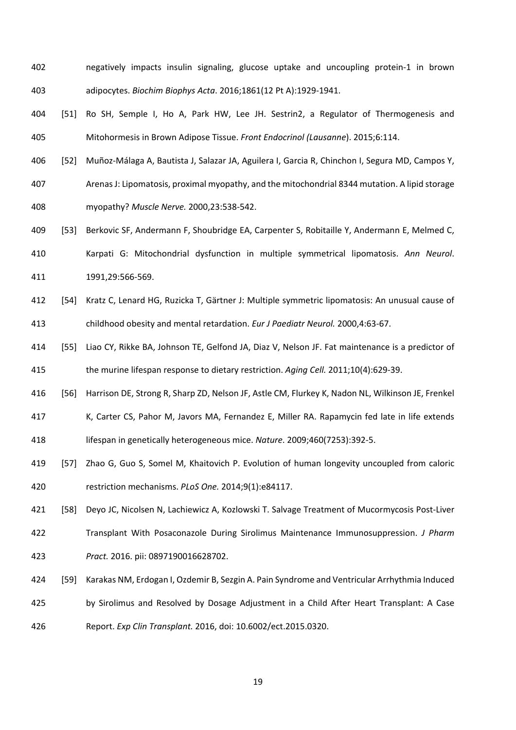- negatively impacts insulin signaling, glucose uptake and uncoupling protein‐1 in brown adipocytes. *Biochim Biophys Acta*. 2016;1861(12 Pt A):1929‐1941.
- [51] Ro SH, Semple I, Ho A, Park HW, Lee JH. Sestrin2, a Regulator of Thermogenesis and Mitohormesis in Brown Adipose Tissue. *Front Endocrinol (Lausanne*). 2015;6:114.
- [52] Muñoz‐Málaga A, Bautista J, Salazar JA, Aguilera I, Garcia R, Chinchon I, Segura MD, Campos Y,
- Arenas J: Lipomatosis, proximal myopathy, and the mitochondrial 8344 mutation. A lipid storage myopathy? *Muscle Nerve.* 2000,23:538‐542.
- [53] Berkovic SF, Andermann F, Shoubridge EA, Carpenter S, Robitaille Y, Andermann E, Melmed C, Karpati G: Mitochondrial dysfunction in multiple symmetrical lipomatosis. *Ann Neurol*. 1991,29:566‐569.
- [54] Kratz C, Lenard HG, Ruzicka T, Gärtner J: Multiple symmetric lipomatosis: An unusual cause of childhood obesity and mental retardation. *Eur J Paediatr Neurol.* 2000,4:63‐67.
- [55] Liao CY, Rikke BA, Johnson TE, Gelfond JA, Diaz V, Nelson JF. Fat maintenance is a predictor of the murine lifespan response to dietary restriction. *Aging Cell.* 2011;10(4):629‐39.
- [56] Harrison DE, Strong R, Sharp ZD, Nelson JF, Astle CM, Flurkey K, Nadon NL, Wilkinson JE, Frenkel
- K, Carter CS, Pahor M, Javors MA, Fernandez E, Miller RA. Rapamycin fed late in life extends lifespan in genetically heterogeneous mice. *Nature*. 2009;460(7253):392‐5.
- [57] Zhao G, Guo S, Somel M, Khaitovich P. Evolution of human longevity uncoupled from caloric restriction mechanisms. *PLoS One.* 2014;9(1):e84117.
- [58] Deyo JC, Nicolsen N, Lachiewicz A, Kozlowski T. Salvage Treatment of Mucormycosis Post‐Liver
- Transplant With Posaconazole During Sirolimus Maintenance Immunosuppression. *J Pharm Pract.* 2016. pii: 0897190016628702.
- [59] Karakas NM, Erdogan I, Ozdemir B, Sezgin A. Pain Syndrome and Ventricular Arrhythmia Induced
- by Sirolimus and Resolved by Dosage Adjustment in a Child After Heart Transplant: A Case
- Report. *Exp Clin Transplant.* 2016, doi: 10.6002/ect.2015.0320.